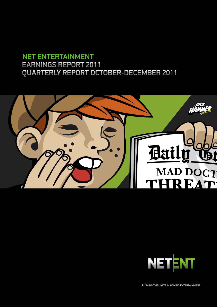# NET ENTERTAINMENT EARNINGS REPORT 2011 QUARTERLY REPORT OCTOBER-DECEMBER 2011





PUSHING THE LIMITS IN GAMING ENTERTAINMENT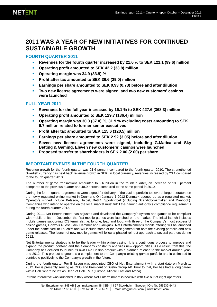# **2011 WAS A YEAR OF NEW INITIATIVES FOR CONTINUED SUSTAINABLE GROWTH**

### **FOURTH QUARTER 2011**

- **Revenues for the fourth quarter increased by 21.6 % to SEK 121.1 (99.6) million**
- **Operating profit amounted to SEK 42.2 (33.8) million**
- **Operating margin was 34.9 (33.9) %**
- **Profit after tax amounted to SEK 36.6 (29.0) million**
- **Earnings per share amounted to SEK 0.93 (0.73) before and after dilution**
- **Two new license agreements were signed, and two new customers' casinos were launched**

### **FULL YEAR 2011**

- **Revenues for the full year increased by 16.1 % to SEK 427.6 (368.3) million**
- **Operating profit amounted to SEK 129.7 (136.4) million**
- **Operating margin was 30.3 (37.0) %, 31.9 % excluding costs amounting to SEK 6.7 million related to former senior executives**
- **Profit after tax amounted to SEK 115.6 (120.5) million**
- **Earnings per share amounted to SEK 2.92 (3.05) before and after dilution**
- **Seven new license agreements were signed, including G.Matica and Sky Betting & Gaming. Eleven new customers' casinos were launched**
- **Proposed transfer to shareholders is SEK 2.00 (2.00) per share**

### **IMPORTANT EVENTS IN THE FOURTH QUARTER**

Revenue growth for the fourth quarter was 21.6 percent compared to the fourth quarter 2010. The strengthened Swedish currency has held back revenue growth in SEK. In local currency, revenues increased by 23.1 compared to the fourth quarter 2010.

The number of game transactions amounted to 2.6 billion in the fourth quarter, an increase of 19.6 percent compared to the previous quarter and 48.9 percent compared to the same period in 2010.

During the fourth quarter agreements were signed for delivery of the casino portfolio to several large operators on the newly regulated online market in Denmark. On January 1 2012 Denmark opened up as a regulated market. Operators signed include Betsson, Unibet, Bet24, Sportingbet (including Scandicbookmaker and Danbook). Companies who intend to operate on the local market must fulfill the gaming authority's compliance requirements during the fourth quarter 2012.

During 2011, Net Entertainment has adjusted and developed the Company's system and games to be compliant with mobile units. In December the first mobile games were launched on the market. The initial launch includes mobile games supporting IOS terminals, i.e. Iphone, Ipad and Ipod, with three of the Company's most successful casino games, Gonzo's Quest, Jack Hammer and Blackjack. Net Entertainment's mobile offering will be launched under the name NetEnt Touch™ and will include some of the best games from both the existing portfolio and new game releases. The launch of new mobile games will follow a phased roll-out approach to several partners during 2012.

Net Entertainments strategy is to be the leader within online casino. It is a continuous process to improve and expand the product portfolio and the Company constantly analyzes new opportunities. As a result from this, the Company has decided to launch its own Live Casino product with a planned release to the market around yearend 2012. This product segment is a complement to the Company's existing games portfolio and is estimated to contribute positively to the Company's growth in the future.

During the fourth quarter Per Eriksson was appointed CEO of Net Entertainment with a start date on March 1, 2012. Per is presently serving as CEO and President of Dustin Group AB. Prior to that, Per has had a long career within Dell, where he left as Head of Dell EMC (Europe, Middle East and Africa).

Intralot Interactive was launched in Italy where Net Entertainment is now live with five out of eight operators.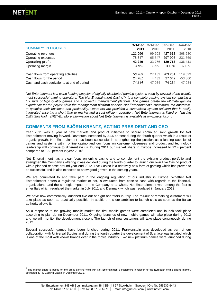l

| <b>SUMMARY IN FIGURES</b>                  | 2011    | Oct-Dec Oct-Dec Jan-Dec<br>2010 | 2011     | Jan-Dec<br>2010 |
|--------------------------------------------|---------|---------------------------------|----------|-----------------|
| Operating revenues                         | 121 096 | 99 603                          | 427 618  | 368 280         |
| Operating expenses                         | -78 847 | $-65847$                        | -297 905 | $-231869$       |
| <b>Operating profit</b>                    | 42 249  | 33 756                          | 129 713  | 136 411         |
| Operating margin                           | 34.9%   | 33.9%                           | 30.3%    | $37.0 \%$       |
|                                            |         |                                 |          |                 |
| Cash flows from operating activities       | 56 789  | 27 133                          | 203 251  | 119629          |
| Cash flows for the period                  | 24 781  | 4 4 3 2                         | 27 642   | $-53300$        |
| Cash and cash equivalents at end of period | 74 234  | 47 034                          | 74 234   | 47 034          |

*Net Entertainment is a world leading supplier of digitally distributed gaming systems used by several of the world's most successful gaming operators. The Net Entertainment Casino™ is a complete gaming system comprising a*  full suite of high quality games and a powerful management platform. The games create the ultimate gaming *experience for the player while the management platform enables Net Entertainment's customers, the operators, to optimize their business and profitability. Operators are provided a customized system solution that is easily integrated ensuring a short time to market and a cost efficient operation. Net Entertainment is listed on Nasdaq*  **OMX Stockholm (NET-B). More information about Net Entertainment is available at [www.netent.com](http://www.netent.com/).** 

### **COMMENTS FROM BJÖRN KRANTZ, ACTING PRESIDENT AND CEO**

Year 2011 was a year of new markets and product initiatives to secure continued solid growth for Net Entertainment moving forward. Revenues increased by 21.6 percent during the fourth quarter which is a result of organic growth. Net Entertainment has been successful in strengthening the position as a leading supplier of games and systems within online casino and our focus on customer closeness and product and technology leadership will continue to differentiate us. During 2011 our market share in Europe increased to 22.4 percent compared to 19.3 percent in year 2010<sup>1</sup>.

Net Entertainment has a clear focus on online casino and to complement the existing product portfolio and strengthen the Company's offering it was decided during the fourth quarter to launch our own Live Casino product with a planned release around year-end 2012. Live Casino is a relatively new form of gaming which has proven to be successful and is also expected to show good growth in the coming years.

We are committed to and take part in the ongoing regulation of our industry in Europe. Whether Net Entertainment enters a regulated market or not, is evaluated from case to case with regards to the financial, organizational and the strategic impact on the Company as a whole. Net Entertainment was among the first to enter Italy which regulated the market in July 2011 and Denmark which was regulated in January 2012.

We have now commercially launched five out of eight operators in Italy. The roll-out of remaining customers will take place as soon as practically possible. In addition, it is our ambition to launch slots as soon as the Italian authority allows it.

As a response to the growing mobile market the first mobile games were completed and launch took place according to plan during December 2011. Ongoing launches of new mobile games will take place during 2012 and we will monitor the development closely. The launch of new customers will take place continuously during 2012.

Several successful games have been lunched during 2011. Frankenstein was developed as part of our collaboration with Universal Studios and during the fourth quarter the development of Scarface was initiated which is one of the most well known brands ever in the movie industry. Two new platinum games were launched during

 $<sup>1</sup>$  The market share is based on the gross gaming yield with Net Entertainment's customers in relation to the European online casino market,</sup> estimated by H2 Gaming Capital in December 2011.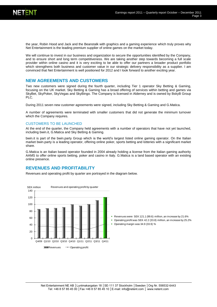the year, Robin Hood and Jack and the Beanstalk with graphics and a gaming experience which truly proves why Net Entertainment is the leading premium supplier of online games on the market today.

We will continue to invest in our business and organization to secure the opportunities identified by the Company, and to ensure short and long term competitiveness. We are taking another step towards becoming a full scale provider within online casino and it is very exciting to be able to offer our partners a broader product portfolio which strengthens both business and customer value in our strategic delivery responsibility as a supplier. I am convinced that Net Entertainment is well positioned for 2012 and I look forward to another exciting year.

### **NEW AGREEMENTS AND CUSTOMERS**

Two new customers were signed during the fourth quarter, including Tier 1 operator Sky Betting & Gaming, focusing on the UK market. Sky Betting & Gaming has a broad offering of services within betting and games via SkyBet, SkyPoker, SkyVegas and SkyBingo. The Company is licensed in Alderney and is owned by BskyB Group PLC.

During 2011 seven new customer agreements were signed, including Sky Betting & Gaming and G.Matica.

A number of agreements were terminated with smaller customers that did not generate the minimum turnover which the Company requires.

#### CUSTOMERS TO BE LAUNCHED

At the end of the quarter, the Company held agreements with a number of operators that have not yet launched, including bwin.it, G.Matica and Sky Betting & Gaming.

bwin.it is part of the bwin.party Group which is the world's largest listed online gaming operator. On the Italian market bwin.party is a leading operator, offering online poker, sports betting and lotteries with a significant market share.

G.Matica is an Italian based operator founded in 2004 already holding a license from the Italian gaming authority AAMS to offer online sports betting, poker and casino in Italy. G.Matica is a land based operator with an existing online presence.

### **REVENUES AND PROFITABILITY**

Revenues and operating profit by quarter are portrayed in the diagram below.

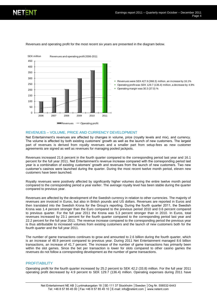

Revenues and operating profit for the most recent six years are presented in the diagram below.

Operating margin was 30.3 (37.0) %

 Revenues were SEK 427.6 (368.3) million, an increase by 16.1% Operating profit was SEK 129.7 (136.4) million, a decrease by 4.9%

#### REVENUES – VOLUME, PRICE AND CURRENCY DEVELOPMENT

Net Entertainment's revenues are affected by changes in volume, price (royalty levels and mix), and currency. The volume is affected by both existing customers' growth as well as the launch of new customers. The largest part of revenues is derived from royalty revenues and a smaller part from setup-fees as new customer agreements are signed as well as revenues for managing pooled jackpots.

Revenues increased 21.6 percent in the fourth quarter compared to the corresponding period last year and 16.1 percent for the full year 2011. Net Entertainment's revenue increase compared with the corresponding period last year is a combination of existing customers' growth and revenues from the launch of new customers. Two new customer's casinos were launched during the quarter. During the most recent twelve month period, eleven new customers have been launched.

Royalty revenues were positively affected by significantly higher volumes during the entire twelve month period compared to the corresponding period a year earlier. The average royalty level has been stable during the quarter compared to previous year.

Revenues are affected by the development of the Swedish currency in relation to other currencies. The majority of revenues are invoiced in Euros, but also in British pounds and US dollars. Revenues are reported in Euros and then translated into the Swedish Krona for the Group's reporting. During the fourth quarter 2011, the Swedish Krona was 1.4 percent stronger than the Euro compared to the previous period 2010 and 0.6 percent compared to previous quarter. For the full year 2011 the Krona was 5.3 percent stronger than in 2010. In Euros, total revenues increased by 23.1 percent for the fourth quarter compared to the corresponding period last year and 22.2 percent for the full year 2011. The revenue increase compared to the corresponding period the previous year is thus attributable to increased volumes from existing customers and the launch of new customers both for the fourth quarter and the full year 2011.

The number of game transactions continues to grow and amounted to 2.6 billion during the fourth quarter, which is an increase of 48.9 percent compared to previous year. During 2011 Net Entertainment managed 8.6 billion transactions, an increase of 41.7 percent. The increase of the number of game transactions has primarily been within the slot games. Since the bet per transaction is lower for slots compared to other casino games the revenues do not follow a corresponding development as the number of game transactions.

#### **PROFITABILITY**

Operating profit for the fourth quarter increased by 25.2 percent to SEK 42.2 (33.8) million. For the full year 2011 operating profit decreased by 4.9 percent to SEK 129.7 (136.4) million. Operating expenses during 2011 have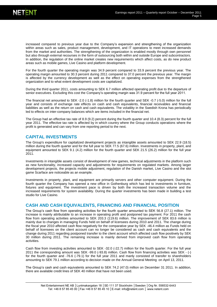increased compared to previous year due to the Company's expansion and strengthening of the organization within areas such as sales, product management, development, and IT operations to meet increased demands from the market and authorities. The strengthening of the organization is enabled mostly through own personnel but also through external recourses in the form of outsourcing both within and outside Europe and subcontractors. In addition, the regulation of the online market creates new requirements which affect costs, as do new product areas such as mobile games, Live Casino and platform development.

For the fourth quarter the operating margin was 34.9 percent compared to 33.9 percent the previous year. The operating margin amounted to 30.3 percent during 2011 compared to 37.0 percent the previous year. The margin is affected by the currency development as well as the effect on operating expenses from the strengthened organization and to what extent development costs are capitalized.

During the third quarter 2011, costs amounting to SEK 6.7 million affected operating profit due to the departure of senior executives. Excluding this cost the Company's operating margin was 31.9 percent for the full year 2011.

The financial net amounted to SEK -2.0 (-1.8) million for the fourth quarter and SEK -0.7 (-5.0) million for the full year and consists of exchange rate effects on cash and cash equivalents, financial receivables and financial liabilities as well as the return on cash and cash equivalents. The volatility in the Swedish Krona has periodically led to effects on inter-company balances which are items included in the financial net.

The Group had an effective tax rate of 8.9 (9.2) percent during the fourth quarter and 10.4 (8.3) percent for the full year 2011. The effective tax rate is affected by in which country where the Group conducts operations where the profit is generated and can vary from one reporting period to the next.

### **CAPITAL INVESTMENTS**

The Group's expenditure for capitalized development projects as intangible assets amounted to SEK 22.9 (18.5) million during the fourth quarter and for the full year to SEK 77.5 (67.6) million. Investments in property, plant, and equipment amounted to SEK 9.1 (4.2) million for the fourth quarter and SEK 21.5 (26.2) million for the full year 2011.

Investments in intangible assets consist of development of new games, technical adjustments in the platform such as new functionality, increased capacity and adjustments for requirements on regulated markets. Among larger development projects, the projects mobile adjustment, regulation of the Danish market, Live Casino and the slot game Scarface are noticeable as an example.

Investments in property, plant, and equipment are primarily servers and other computer equipment. During the fourth quarter the Company has opened a new office in Gothenburg which has led to investments in furniture, fixtures and equipment. The investment pace is driven by both the increased transaction volume and the increased requirements for system availability. During the quarter investments has been made in building a test studio for Live Casino.

### **CASH AND CASH EQUIVALENTS, FINANCING AND FINANCIAL POSITION**

The Group's cash flow from operating activities for the fourth quarter amounted to SEK 56.8 (27.1) million. The increase is mainly attributable to an increase in operating profit and postponed tax payment. For 2011 the cash flow from operating activities amounted to SEK 203.3 (119.6) million. The improvement of SEK 83.6 million is mainly due to changes in managing Funds held on behalf of licensees during 2010 and 2011. The change during the fiscal year 2010 affected cash flow negatively for the comparative year by SEK -46.4 million as Funds held on behalf of licensees on the client account can no longer be considered as cash and cash equivalents and the change during 2011 regarding postponed transfer to the client account which affected cash flow positively by SEK 30 million during 2011. The remaining increase is mainly derived from improved cash flow from operating activities.

Cash flow from investing activities amounted to SEK -32.0 (-22.7) million for the fourth quarter. For the full year 2011 the corresponding amount was SEK -99.0 (-93.8) million. Cash flow from financing activities was SEK - (-) for the fourth quarter and -76.6 (-79.1) for the full year 2011 and manly consisted of transfer to shareholders amounting to SEK 79.1 million according to decision made on the Annual General Meeting on April 13, 2011.

The Group's cash and cash equivalents amounted to SEK 74.2 (47.0) million on December 31 2011. In addition, there are available credit lines of SEK 40 million that have not been used.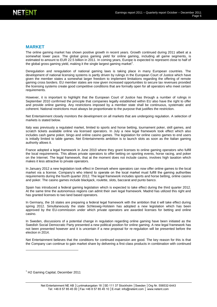#### **MARKET**

The online gaming market has shown positive growth in recent years. Growth continued during 2011 albeit at a somewhat lower pace. The global gross gaming yield for online gaming, including all game segments, is estimated to amount to EUR 22.5 billion in 2011. In coming years, Europe is expected to represent close to half of the global gross gaming yield, making it the single largest gaming market<sup>1</sup>.

Deregulation and reregulation of national gaming laws is taking place in many European countries. The development of national licensing systems is partly driven by rulings in the European Court of Justice which have given the member states a somewhat larger freedom to implement limitations regarding the offering of remote gaming cross borders. EU member states are now given increased opportunities to secure tax revenues provided the licensing systems create good competitive conditions that are formally open for all operators who meet certain requirements.

However, it is important to highlight that the European Court of Justice has through a number of rulings in September 2010 confirmed the principle that companies legally established within EU also have the right to offer and provide online gaming. Any restrictions imposed by a member state shall be continuous, systematic and coherent. National restrictions must always be proportionate to the purpose that justifies the restriction.

Net Entertainment closely monitors the development on all markets that are undergoing regulation. A selection of markets is stated below.

Italy was previously a regulated market, limited to sports and horse betting, tournament poker, skill games, and scratch tickets available online via licensed operators. In July a new legal framework took effect which also includes cash game poker, bingo and online casino games. The legislation for online casino games to end users is initially limited to table games. Net Entertainments ambition is to launch slots as soon as the Italian gaming authority allows it.

France adopted a legal framework in June 2010 where they grant licenses to online gaming operators who fulfill the local requirements. This allows private operators to offer betting on sporting events, horse racing, and poker on the Internet. The legal framework, that at the moment does not include casino, involves high taxation which makes it less attractive to private operators.

In January 2012 a new legislation took effect in Denmark where operators can now offer online games to the local market via a license. Company's who intend to operate on the local market must fulfill the gaming authorities requirements during the fourth quarter 2012. The legal framework includes sports and horse betting, online casino and poker. The casino games include blackjack, roulette, slots, baccarat and punto banco.

Spain has introduced a federal gaming legislation which is expected to take effect during the third quarter 2012. At the same time the autonomous regions can admit their own legal framework. Madrid has utilized this right and has granted licenses to two land based operators.

In Germany, the 16 states are preparing a federal legal framework with the ambition that it will take effect during spring 2012. Simultaneously the state Schleswig-Holstein has adopted a new legislation which has been approved by the EU-commission under which private operators are awarded licenses for betting and online casino.

In Sweden, discussions of a potential change in regulation regarding online gaming have been initiated as the Swedish Social Democratic Party presented a new political position for online gaming. A new legal framework has not been presented however and it is uncertain if a new proposal for re-regulation will be presented before the election in 2014.

Net Entertainment believes that the conditions for continued expansion are good. The key reason for this is that the Company can continue to gain market share by delivering a first-class products in combination with continued

 $<sup>1</sup>$  H2 Gaming Capital, December 2011</sup>

l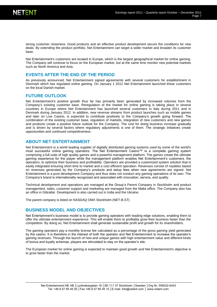strong customer closeness. Good products and an effective product development secure the conditions for new deals. By extending the product portfolio, Net Entertainment can target a wider market and broaden its customer base.

Net Entertainment's customers are located in Europe, which is the largest geographical market for online gaming. The Company will continue to focus on the European market, but at the same time monitor new potential markets such as North America and Asia.

### **EVENTS AFTER THE END OF THE PERIOD**

As previously announced, Net Entertainment signed agreements with several customers for establishment in Denmark which has regulated online gaming. On January 1 2012 Net Entertainment launched these customers on the local Danish market.

### **FUTURE OUTLOOK**

Net Entertainment's positive growth thus far has primarily been generated by increased volumes from the Company's existing customer base. Reregulation of the market for online gaming is taking place in several countries in Europe where Net Entertainment has launched several customers in Italy during 2011 and in Denmark during January 2012. In addition, new revenue streams from product launches such as mobile games and later on Live Casino, is expected to contribute positively to the Company's growth going forward. The combination of the existing customer base, regulation of markets, integration of new customers and new games and products create a positive future outlook for the Company. The cost for doing business increase gradually and is driven by several factors where regulatory adjustments is one of them. The strategic initiatives create opportunities and continued competitiveness.

### **ABOUT NET ENTERTAINMENT**

Net Entertainment is a world leading supplier of digitally distributed gaming systems used by some of the world's most successful online gaming operators. The Net Entertainment Casino™ is a complete gaming system comprising a full suite of high quality games and a powerful management platform. The games create the ultimate gaming experience for the player while the management platform enables Net Entertainment's customers, the operators, to optimize their business and profitability. Operators are provided a customized system solution that is easily integrated ensuring short time to market and a cost efficient operation. Revenues consist of royalties based on revenues generated by the Company's products and setup fees when new agreements are signed. Net Entertainment is a pure development Company and thus does not conduct any gaming operations of its own. The Company's brand is internationally recognized and associated with innovation, service, and quality.

Technical development and operations are managed at the Group's Parent Company in Stockholm and product management, sales, customer support and marketing are managed from the Malta office. The Company also has an office in Gibraltar. Development is also carried out in India and the Ukraine.

The parent company is listed on NASDAQ OMX Stockholm (NET-B.ST)

### **BUSINESS MODEL AND OBJECTIVES**

Net Entertainment's business model is to provide gaming operators with leading edge solutions, enabling them to offer the ultimate entertainment experience. This will enable them to profitably grow their business faster than the competition. By doing so, Net Entertainment shall generate sustainable profit and growth for its shareholders.

The gaming operators pay a monthly license fee calculated as a percentage of the gross gaming yield generated by the casino. It is therefore in the interest of both the operator and Net Entertainment to increase the operator's gaming revenues. Through the launch of new and unique games with high entertainment value and different kinds of bonus and loyalty schemas, players are stimulated to stay on the operator's site.

The European market for online gaming is expected to maintain good growth and Net Entertainment's objective is to grow faster than the market.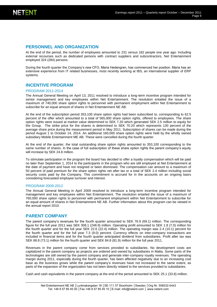### **PERSONNEL AND ORGANIZATION**

At the end of the period, the number of employees amounted to 231 versus 182 people one year ago. Including external recourses such as dedicated persons with contract suppliers and subcontractors, Net Entertainment employed 324 (284) persons.

During the fourth quarter the Company's new CFO, Maria Hedengren, has commenced her position. Maria has an extensive experience from IT related businesses, most recently working at IBS, an international supplier of ERP systems.

### **INCENTIVE PROGRAM**

#### PROGRAM 2011-2014

The Annual General Meeting on April 13, 2011 resolved to introduce a long-term incentive program intended for senior management and key employees within Net Entertainment. The resolution entailed the issue of a maximum of 740,000 share option rights to personnel with permanent employment within Net Entertainment to subscribe for an equal amount of shares in Net Entertainment NE AB.

At the end of the subscription period 353,100 share option rights had been subscribed to, corresponding to 62.5 percent of the offer which amounted to a total of 565,000 share option rights, offered to employees. The share option rights were issued at market value determined to SEK 7.20 which generated SEK 2.5 million to equity for the Group. The strike price for the shares is determined to SEK 70.20 which represents 130 percent of the average share price during the measurement period in May 2011. Subscription of shares can be made during the period August 1 to October 14, 2014. An additional 160,000 share option rights were held by the wholly owned subsidiary Mobile Entertainment ME AB. These were cancelled during the fourth quarter.

At the end of the quarter, the total outstanding share option rights amounted to 353,100 corresponding to the same number of shares. In the case of full subscription of these share option rights the parent company's equity will increase by SEK 24.8 million.

To stimulate participation in the program the board has decided to offer a loyalty compensation which will be paid no later than September 1, 2014 to the participants in the program who are still employed at Net Entertainment at the date of payment and have not resigned or been dismissed. The compensation can amount to a maximum of 50 percent of paid premium for the share option rights net after tax or a total of SEK 2.4 million including social security costs paid by the Company. This commitment is accrued for in the accounts on an ongoing basis considering forecasted employee turnover and interest.

#### PROGRAM 2009-2012

The Annual General Meeting in April 2009 resolved to introduce a long-term incentive program intended for management and key employees within Net Entertainment. The resolution entailed the issue of a maximum of 760,000 share option rights to personnel with permanent employment within Net Entertainment to subscribe for an equal amount of shares in Net Entertainment NE AB. Further information about this program can be viewed in the annual report 2010.

### **PARENT COMPANY**

The parent company's revenues for the fourth quarter amounted to SEK 76.9 (69.1) million. The corresponding figure for the full year 2011 was SEK 308.1 (248.9) million. Operating profit amounted to SEK 1.8 (7.0) million for the fourth quarter and for the full year SEK 22.6 (22.4) million. The operating margin was 2.4 (10.1) percent for the fourth quarter and for the full year 7.3 (9.0) percent. Currency effects on inter-company transactions are included in financial items and for the fourth quarter anticipated dividend from subsidiaries. Profit after tax was SEK 68.8 (73.1) million for the fourth quarter and SEK 84.8 (81.9) million for the full year 2011.

Revenues in the parent company come from services provided to subsidiaries. No development costs are capitalized in the parent company as projects are ordered and owned by subsidiaries in Malta. Some parts of the technologies are still owned by the parent company and generate inter-company royalty revenues. The operating margin during 2011, especially during the fourth quarter, has been affected negatively due to an increasing cost base as the business grows while the parent company's revenues have not increased to the same extent, as parts of the expansion of the organization has not been directly related to the services provided to subsidiaries.

Cash and cash equivalents in the parent company at the end of the period amounted to SEK 25.1 (33.8) million.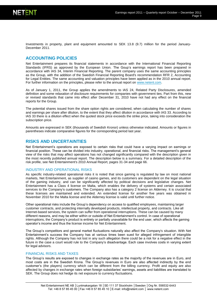Investments in property, plant and equipment amounted to SEK 13.8 (9.7) million for the period January-December 2011.

### **ACCOUNTING POLICIES**

Net Entertainment prepares its financial statements in accordance with the International Financial Reporting Standards (IFRS) as approved by the European Union. The Goup's earnings report has been prepared in accordance with IAS 34, Interim Financial Reporting. The parent company uses the same accounting principles as the Group, with the addition of the Swedish Financial Reporting Board's recommendation RFR 2, Accounting for Legal Entities. The same accounting and valuation principles have been applied as in the 2010 annual report. For further information on the principles, please refer to the annual report on [www.netent.com.](http://www.netent.com/)

As of January 1, 2011, the Group applies the amendments to IAS 24, Related Party Disclosures, amended definition and some relaxation of disclosure requirements for companies with government ties. Part from this, new or revised standards that came into effect after December 31, 2010 have not had any effect on the financial reports for the Group.

The potential shares issued from the share option rights are considered, when calculating the number of shares and earnings per share after dilution, to the extent that they affect dilution in accordance with IAS 33. According to IAS 33 there is a dilution effect when the quoted stock price exceeds the strike price, taking into consideration the subscription price.

Amounts are expressed in SEK (thousands of Swedish Kronor) unless otherwise indicated. Amounts or figures in parentheses indicate comparative figures for the corresponding period last year.

### **RISKS AND UNCERTAINTIES**

Net Entertainment's operations are exposed to certain risks that could have a varying impact on earnings or financial position. These can be divided into industry, operational, and financial risks. The management's general view of the risks that may affect operations has not changed significantly compared with the description given in the most recently published annual report. The description below is a summary. For a detailed description of the risk profile, see Net Entertainment's 2010 Annual Report, pages 31-34 and page 66.

#### INDUSTRY AND OPERATIONAL RISKS

As specific industry-related operational risks it is noted that since gaming is regulated by law on most national markets, Net Entertainment, as supplier of casino games, and its customers are dependent on the legal situation of the gaming industry, and can be significantly affected by political decisions and legislative changes. Net Entertainment has a Class 4 license on Malta, which enables the delivery of systems and certain associated services to the Company's customers. The Company also has a category 2 license on Alderney. It is crucial that these licenses are maintained and extended. An extended license for another five years was obtained in November 2010 for the Malta license and the Alderney license is valid until further notice.

Other operational risks include the Group's dependency on access to qualified employees, maintaining larger customer contracts, and protecting internally developed products, intellectual property, and contracts. Like all Internet-based services, the system can suffer from operational interruptions. These can be caused by many different reasons, and may be either within or outside of Net Entertainment's control. In case of operational interruptions, the Company's product is entirely or partially unavailable for the end user, which affects the gaming operator's income and thus the license income for Net Entertainment.

The Group's competitors and general market fluctuations naturally also affect the Company's situation. With Net Entertainment's success the Company has at various times been sued for alleged infringement of intangible rights. Although the Company has not lost in any such allegation there could be a risk for a negative effect in the future in the case a court would rule to the Company's disadvantage. Each case involves costs in varying extent for legal advisors.

#### FINANCIAL RISKS AND TAXES

The Group's results are exposed to changes in exchange rates as the majority of the revenues are in Euro, and most costs are in the Swedish Krona. The Group's revenues in Euro are also affected indirectly by the end customer's (the players) currency which can be different from the billing currency. Profit and equity are also affected by changes in exchange rates when foreign subsidiaries' earnings, assets and liabilities are translated to SEK. The Group does not hedge its net exposure to currency fluctuations.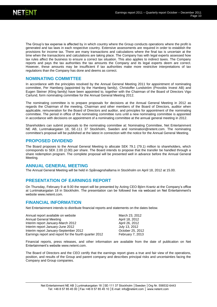The Group's tax expense is affected by in which country where the Group conducts operations where the profit is generated and tax laws in each respective country. Extensive assessments are required in order to establish the provisions for income tax. There are many transactions and calculations where the final tax is uncertain at the time when the transactions and calculations are taking place. The Company has with legal experts assessed how tax rules affect the business to ensure a correct tax situation. This also applies to indirect taxes. The Company reports and pays the tax authorities the tax amounts the Company and its legal experts deem are correct. However, these amounts may be insufficient if tax authorities make more restrictive interpretations of tax regulations than the Company has done and deems as correct.

#### **NOMINATING COMMITTEE**

In accordance with the principles resolved by the Annual General Meeting 2011 for appointment of nominating committee, Per Hamberg (appointed by the Hamberg family), Christoffer Lundström (Provobis Invest AB) and Eugen Steiner (Kling family) have been appointed to, together with the Chairman of the Board of Directors Vigo Carlund, form nominating committee for the Annual General Meeting 2012.

The nominating committee is to prepare proposals for decisions at the Annual General Meeting in 2012 as regards the Chairman of the meeting, Chairman and other members of the Board of Directors, auditor when applicable, remuneration for the Board of Directors and auditor, and principles for appointment of the nominating committee. The period in office of the nominating committee runs until a new nominating committee is appointed in accordance with decisions on appointment of a nominating committee at the annual general meeting in 2012.

Shareholders can submit proposals to the nominating committee at: Nominating Committee, Net Entertainment NE AB, Luntmakargatan 18, SE-111 37 Stockholm, Sweden and nomination@netent.com. The nominating committee's proposal will be published at the latest in connection with the notice for the Annual General Meeting.

### **PROPOSED DIVIDEND**

The Board proposes to the Annual General Meeting to allocate SEK 79.1 (79.1) million to shareholders, which corresponds to SEK 2.00 (2.00) per share. The Board intends to propose that the transfer be handled through a share redemption program. The complete proposal will be presented well in advance before the Annual General Meeting.

#### **ANNUAL GENERAL MEETING**

The Annual General Meeting will be held in Spårvagnshallarna in Stockholm on April 18, 2012 at 15.00.

### **PRESENTATION OF EARNINGS REPORT**

On Thursday, February 9 at 9.00 the report will be presented by Acting CEO Björn Krantz at the Company's office at Luntmakargatan 18 in Stockholm. The presentation can be followed live via webcast on Net Entertainment's websit[e www.netent.com.](http://www.netent.com/)

### **FINANCIAL INFORMATION**

Net Entertainment intends to distribute financial reports and statements on the dates below.

| Annual report available on website                     | March 23, 2012   |
|--------------------------------------------------------|------------------|
| Annual General Meeting                                 | April 18, 2012   |
| Interim report January-March 2012                      | April 26, 2012   |
| Interim report January-June 2012                       | July 13, 2012    |
| Interim report January-September 2012                  | October 25, 2012 |
| Earnings report and report for the fourth quarter 2012 | February 7, 2013 |

Financial reports, press releases, and other information are available from the date of publication on Net Entertainment's websit[e www.netent.com.](http://www.netent.com/) 

The Board of Directors and the CEO certify that the earnings report gives a true and fair view of the operations, position, and results of the Group and parent company and describes principal risks and uncertainties facing the Company and Group companies.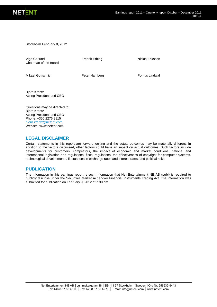

Stockholm February 8, 2012

Vigo Carlund Chairman of the Board

Fredrik Erbing Niclas Eriksson

Mikael Gottschlich **Peter Hamberg** Pontus Lindwall

Björn Krantz Acting President and CEO

Questions may be directed to: Björn Krantz Acting President and CEO Phone: +356 2276 8115 [bjorn.krantz@netent.com](mailto:bjorn.krantz@netent.com) Website: [www.netent.com](http://www.netent.com/)

### **LEGAL DISCLAIMER**

Certain statements in this report are forward-looking and the actual outcomes may be materially different. In addition to the factors discussed, other factors could have an impact on actual outcomes. Such factors include developments for customers, competitors, the impact of economic and market conditions, national and international legislation and regulations, fiscal regulations, the effectiveness of copyright for computer systems, technological developments, fluctuations in exchange rates and interest rates, and political risks.

### **PUBLICATION**

The information in this earnings report is such information that Net Entertainment NE AB (publ) is required to publicly disclose under the Securities Market Act and/or Financial Instruments Trading Act. The information was submitted for publication on February 9, 2012 at 7.30 am.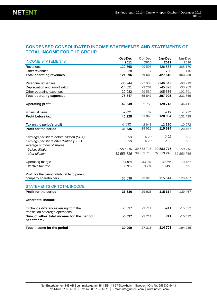### **CONDENSED CONSOLIDATED INCOME STATEMENTS AND STATEMENTS OF TOTAL INCOME FOR THE GROUP**

|                                                                            | Oct-Dec    | <b>Oct-Dec</b> | Jan-Dec    | Jan-Dec    |
|----------------------------------------------------------------------------|------------|----------------|------------|------------|
| <b>INCOME STATEMENTS</b>                                                   | 2011       | 2010           | 2011       | 2010       |
| Revenues                                                                   | 120 868    | 99 596         | 426 838    | 368 170    |
| Other revenues                                                             | 228        | 7              | 780        | 110        |
| <b>Total operating revenues</b>                                            | 121 096    | 99 603         | 427 618    | 368 280    |
| Personnel expenses                                                         | $-35244$   | $-27006$       | $-146547$  | $-98219$   |
| Depreciation and amortization                                              | $-14521$   | $-9261$        | $-45823$   | $-30959$   |
| Other operating expenses                                                   | $-29082$   | $-29580$       | $-105535$  | $-102691$  |
| <b>Total operating expenses</b>                                            | -78 847    | $-65847$       | -297 905   | $-231869$  |
| <b>Operating profit</b>                                                    | 42 249     | 33 756         | 129 713    | 136 411    |
| <b>Financial items</b>                                                     | $-2021$    | $-1787$        | -719       | $-4972$    |
| <b>Profit before tax</b>                                                   | 40 228     | 31 969         | 128 994    | 131 439    |
| Tax on the period's profit                                                 | $-3592$    | $-2943$        | $-13380$   | $-10972$   |
| Profit for the period                                                      | 36 636     | 29 0 26        | 115 614    | 120 467    |
| Earnings per share before dilution (SEK)                                   | 0.93       | 0.73           | 2.92       | 3.05       |
| Earnings per share after dilution (SEK)                                    | 0.93       | 0.73           | 2.92       | 3.05       |
| Average number of shares                                                   |            |                |            |            |
| - before dilution                                                          | 39 553 716 | 39 553 716     | 39 553 716 | 39 553 716 |
| - after dilution                                                           | 39 553 716 | 39 553 716     | 39 553 716 | 39 553 716 |
| Operating margin                                                           | 34.9%      | 33.9%          | 30.3%      | 37.0%      |
| Effective tax rate                                                         | 8.9%       | 9.2%           | 10.4%      | 8.3%       |
|                                                                            |            |                |            |            |
| Profit for the period attributable to parent                               |            |                |            |            |
| company shareholders                                                       | 36 636     | 29 0 26        | 115 614    | 120 467    |
| <b>STATEMENTS OF TOTAL INCOME</b>                                          |            |                |            |            |
| Profit for the period                                                      | 36 636     | 29 0 26        | 115 614    | 120 467    |
| <b>Other total income</b>                                                  |            |                |            |            |
| Exchange differences arising from the<br>translation of foreign operations | $-5637$    | $-1711$        | $-911$     | $-15532$   |
| Sum of other total income for the period.<br>net after tax                 | -5 637     | $-1711$        | $-911$     | $-15532$   |
| Total income for the period                                                | 30 999     | 27 315         | 114 703    | 104 935    |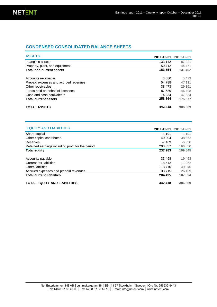## **CONDENSED CONSOLIDATED BALANCE SHEETS**

| <b>ASSETS</b>                         | 2011-12-31 | 2010-12-31 |
|---------------------------------------|------------|------------|
| Intangible assets                     | 133 142    | 87 0 21    |
| Property, plant, and equipment        | 50 412     | 44 471     |
| <b>Total non-current assets</b>       | 183 554    | 131 492    |
| Accounts receivable                   | 3680       | 5473       |
| Prepaid expenses and accrued revenues | 54 788     | 47 111     |
| Other receivables                     | 38 473     | 29 351     |
| Funds held on behalf of licensees     | 87 689     | 46 408     |
| Cash and cash equivalents             | 74 234     | 47 034     |
| <b>Total current assets</b>           | 258 864    | 175 377    |
| <b>TOTAL ASSETS</b>                   | 442 418    | 306 869    |

| <b>EQUITY AND LIABILITIES</b>                     |            |            |
|---------------------------------------------------|------------|------------|
|                                                   | 2011-12-31 | 2010-12-31 |
| Share capital                                     | 1 1 9 1    | 1 1 9 1    |
| Other capital contributed                         | 40 904     | 38 362     |
| Reserves                                          | -7 469     | $-6558$    |
| Retained earnings including profit for the period | 203 357    | 166 850    |
| <b>Total equity</b>                               | 237983     | 199 845    |
| Accounts payable                                  | 33 498     | 19 458     |
| Current tax liabilities                           | 18512      | 11 262     |
| Other liabilities                                 | 118 710    | 49 845     |
| Accrued expenses and prepaid revenues             | 33 7 15    | 26 459     |
| <b>Total current liabilities</b>                  | 204 435    | 107 024    |
| <b>TOTAL EQUITY AND LIABILITIES</b>               | 442 418    | 306 869    |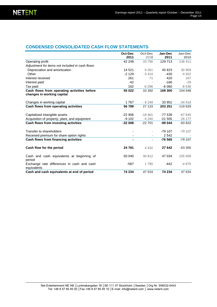### **CONDENSED CONSOLIDATED CASH FLOW STATEMENTS**

|                                                                           | Oct-Dec<br>2011 | Oct-Dec<br>2010          | Jan-Dec<br>2011 | Jan-Dec<br>2010 |
|---------------------------------------------------------------------------|-----------------|--------------------------|-----------------|-----------------|
| Operating profit                                                          | 42 249          | 33 756                   | 129 713         | 136 411         |
| Adjustment for items not included in cash flows:                          |                 |                          |                 |                 |
| Depreciation and amortization                                             | 14 521          | 9 2 6 1                  | 45 823          | 30 959          |
| Other                                                                     | $-2129$         | $-3410$                  | $-430$          | $-4922$         |
| Interest received                                                         | 261             | 71                       | 420             | 167             |
| Interest paid                                                             | $-42$           |                          | $-166$          | $-29$           |
| Tax paid                                                                  | 162             | $-6296$                  | $-6060$         | $-8538$         |
| Cash flows from operating activities before<br>changes in working capital | 55 022          | 33 382                   | 169 300         | 154 048         |
| Changes in working capital                                                | 1767            | $-6249$                  | 33 951          | $-34419$        |
| Cash flows from operating activities                                      | 56789           | 27 133                   | 203 251         | 119 629         |
| Capitalized intangible assets                                             | $-22906$        | $-18461$                 | $-77539$        | $-67645$        |
| Acquisition of property, plant, and equipment                             | $-9102$         | $-4240$                  | $-21,505$       | $-26$ 177       |
| Cash flows from investing activities                                      | $-32008$        | $-22701$                 | $-99044$        | $-93822$        |
| Transfer to shareholders                                                  |                 |                          | $-79107$        | $-79107$        |
| Received premium for share option rights                                  | ٠               | $\overline{\phantom{a}}$ | 2 5 4 2         |                 |
| Cash flows from financing activities                                      |                 | $\sim$                   | $-76565$        | $-79107$        |
| Cash flow for the period                                                  | 24 781          | 4 4 3 2                  | 27 642          | $-53300$        |
| Cash and cash equivalents at beginning of<br>period                       | 50 040          | 40 812                   | 47 034          | 105 009         |
| Exchange rate differences in cash and cash<br>equivalents                 | $-587$          | 1790                     | $-442$          | $-4675$         |
| Cash and cash equivalents at end of period                                | 74 234          | 47 034                   | 74 234          | 47 034          |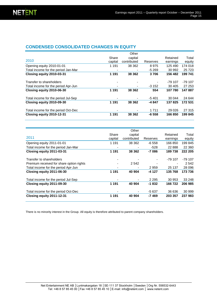## **CONDENSED CONSOLIDATED CHANGES IN EQUITY**

|                                     |         | Other       |          |           |           |
|-------------------------------------|---------|-------------|----------|-----------|-----------|
|                                     | Share   | capital     |          | Retained  | Total     |
| 2010                                | capital | contributed | Reserves | earnings  | equity    |
| Opening equity 2010-01-01           | 1 1 9 1 | 38 362      | 8975     | 125 490   | 174 018   |
| Total income for the period Jan-Mar |         |             | $-5269$  | 30 992    | 25 7 23   |
| Closing equity 2010-03-31           | 1 1 9 1 | 38 362      | 3706     | 156 482   | 199 741   |
| Transfer to shareholders            |         |             |          | $-79.107$ | $-79.107$ |
| Total income for the period Apr-Jun |         |             | $-3152$  | 30 405    | 27 253    |
| Closing equity 2010-06-30           | 1 1 9 1 | 38 362      | 554      | 107 780   | 147887    |
| Total income for the period Jul-Sep |         |             | $-5401$  | 30 044    | 24 644    |
| Closing equity 2010-09-30           | 1 1 9 1 | 38 362      | -4 847   | 137825    | 172 531   |
| Total income for the period Oct-Dec |         |             | 1 7 1 1  | 29 0 26   | 27 315    |
| Closing equity 2010-12-31           | 1 1 9 1 | 38 362      | $-6558$  | 166850    | 199845    |

|                                          |         | Other       |          |          |         |
|------------------------------------------|---------|-------------|----------|----------|---------|
| 2011                                     | Share   | capital     |          | Retained | Total   |
|                                          | capital | contributed | Reserves | earnings | equity  |
| Opening equity 2011-01-01                | 1 1 9 1 | 38 362      | $-6558$  | 166 850  | 199 845 |
| Total income for the period Jan-Mar      |         |             | $-528$   | 22 8 8 8 | 22 3 60 |
| Closing equity 2011-03-31                | 1 1 9 1 | 38 362      | $-7086$  | 189738   | 222 205 |
| Transfer to shareholders                 |         |             |          | -79 107  | -79 107 |
| Premium received for share option rights |         | 2 5 4 2     |          |          | 2 5 4 2 |
| Total income for the period Apr-Jun      |         |             | 2959     | 25 137   | 28 0 96 |
| Closing equity 2011-06-30                | 1 1 9 1 | 40 904      | $-4127$  | 135 768  | 173 736 |
| Total income for the period Jul-Sep      |         |             | 2 2 9 5  | 30 953   | 33 248  |
| Closing equity 2011-09-30                | 1 1 9 1 | 40 904      | $-1832$  | 166 722  | 206 985 |
| Total income for the period Oct-Dec      |         |             | $-5637$  | 36 636   | 30 999  |
| Closing equity 2011-12-31                | 1 1 9 1 | 40 904      | $-7469$  | 203 357  | 237 983 |

There is no minority interest in the Group. All equity is therefore attributed to parent company shareholders.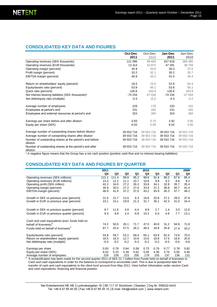### **CONSOLIDATED KEY DATA AND FIGURES**

|                                                                     | Oct-Dec    | Oct-Dec    | Jan-Dec    | Jan-Dec    |
|---------------------------------------------------------------------|------------|------------|------------|------------|
|                                                                     | 2011       | 2010       | 2011       | 2010       |
| Operating revenues (SEK thousands)                                  | 121 096    | 99 603     | 427 618    | 368 280    |
| Operating revenues (EUR thousands)                                  | 13 3 14    | 10 872     | 47 281     | 38704      |
| Operating margin (percent)                                          | 34.9       | 33.9       | 30.3       | 37.0       |
| Profit margin (percent)                                             | 33.2       | 32.1       | 30.2       | 35.7       |
| <b>EBITDA</b> margin (percent)                                      | 46.9       | 43.2       | 41.0       | 45.4       |
| Return on shareholders' equity (percent)                            | 16.5       | 15.6       | 52.8       | 64.4       |
| Equity/assets ratio (percent)                                       | 53.8       | 65.1       | 53.8       | 65.1       |
| Quick ratio (percent)                                               | 126.6      | 163.9      | 126.6      | 163.9      |
| Net interest-bearing liabilities (SEK thousands) <sup>1</sup>       | -74 234    | $-47034$   | $-74234$   | $-47034$   |
| Net debt/equity ratio (multiple)                                    | $-0.3$     | $-0.2$     | $-0.3$     | $-0.2$     |
| Average number of employees                                         | 229        | 179        | 220        | 152        |
| Employees at period's end                                           | 231        | 182        | 231        | 182        |
| Employees and external resources at period's end                    | 324        | 284        | 324        | 284        |
| Earnings per share before and after dilution                        | 0.93       | 0.73       | 2.92       | 3.05       |
| Equity per share (SEK)                                              | 6.02       | 5.05       | 6.02       | 5.05       |
| Average number of outstanding shares before dilution                | 39 553 716 | 39 553 716 | 39 553 716 | 39 553 716 |
| Average number of outstanding shares after dilution                 | 39 553 716 | 39 553 716 | 39 553 716 | 39 553 716 |
| Number of outstanding shares at the period's end before<br>dilution | 39 553 716 | 39 553 716 | 39 553 716 | 39 553 716 |
| Number of outstanding shares at the period's end after<br>dilution  | 39 553 716 | 39 553 716 | 39 553 716 | 39 553 716 |

<sup>1</sup> A negative figure means that the Group has a net cash position (positive cash flow and no interest-bearing liabilities)

### **CONSOLIDATED KEY DATA AND FIGURES BY QUARTER**

|                                                | 2011   |        |        |        | 2010   |        |                |        | 2009   |
|------------------------------------------------|--------|--------|--------|--------|--------|--------|----------------|--------|--------|
|                                                | Q4     | Q3     | Q2     | Q1     | Q4     | Q3     | Q <sub>2</sub> | Q1     | Q4     |
| Operating revenues (SEK millions)              | 121.1  | 111.4  | 99.9   | 95.2   | 99.6   | 91.6   | 89.2           | 87.9   | 85.4   |
| Operating revenues (EUR millions)              | 13.3   | 12.2   | 11.1   | 10.7   | 10.8   | 9.8    | 9.2            | 8.8    | 8.2    |
| Operating profit (SEK million)                 | 42.2   | 34.0   | 27.2   | 26.3   | 33.8   | 34.1   | 32.8           | 35.7   | 35.4   |
| Operating margin (percent)                     | 34.9   | 30.5   | 27.2   | 27.6   | 33.9   | 37.2   | 36.8           | 40.7   | 41.4   |
| EBITDA-margin (percent)                        | 46.9   | 41.6   | 37.2   | 37.0   | 43.2   | 45.9   | 45.3           | 47.7   | 48.2   |
| Growth in SEK vs previous year (percent)       | 21.6   | 21.7   | 12.0   | 8.3    | 16.6   | 20.8   | 27.2           | 28.0   | 37.8   |
| Growth in EUR vs previous year (percent)       | 23.1   | 24.1   | 19.9   | 21.3   | 31.7   | 35.1   | 42.3           | 41.0   | 34.4   |
| Growth in SEK vs previous quarter (percent)    | 8.7    | 11.6   | 4.8    | $-4.4$ | 8.8    | 2.7    | 1.4            | 3.0    | 12.6   |
| Growth in EUR vs previous quarter (percent)    | 9.3    | 9.8    | 3.4    | $-0.8$ | 10.2   | 6.0    | 4.6            | 7.7    | 13.1   |
|                                                |        |        |        |        |        |        |                |        |        |
| Cash and cash equivalents (excl. funds held on |        |        |        |        |        |        |                |        |        |
| behalf of licensees) <sup>2</sup>              | 74.2   | 50.0   | 26.1   | 71.7   | 47.0   | 40.8   | 31.2           | 94.9   | 71.8   |
| Funds held on behalf of licensees <sup>2</sup> | 87.7   | 25.4   | 57.5   | 26.2   | 46.4   | 34.8   | 35.8           | 27.4   | 33.2   |
| Equity/assets ratio (percent)                  | 53.8   | 59.7   | 53.2   | 69.4   | 65.1   | 63.8   | 62.4           | 73.6   | 70.0   |
| Return on shareholders' equity (percent)       | 16.5   | 16.3   | 12.7   | 10.8   | 15.6   | 18.8   | 17.5           | 16.6   | 20.6   |
| Net debt/equity ratio (multiple)               | $-0.3$ | $-0.2$ | $-0.2$ | $-0.3$ | $-0.2$ | $-0.2$ | $-0.5$         | $-0.6$ | $-0.6$ |
| Earnings per share                             | 0.93   | 0.78   | 0.64   | 0.58   | 0.73   | 0.76   | 0.77           | 0.78   | 0.82   |
| Equity per share (SEK)                         | 6.02   | 5.23   | 4.39   | 5.62   | 5.05   | 4.36   | 3.74           | 5.05   | 4.40   |
| Average number of employees                    | 229    | 228    | 223    | 200    | 179    | 155    | 137            | 136    | 131    |

Average number of employees 229 228 223 200 179 155 137 136 131 2 A reclassification has been made for the second quarter 2011 of SEK 21.7 million from Funds held on behalf of licensees to Cash and cash equivalents in order for the balance to correspond to accessible cash. This is due to postponed date for transfer of cash and cash equivalents to the client fund account from May 2011. View further information under section Cash and cash equivalents, financing and financial position.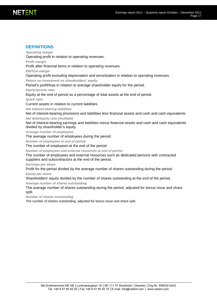### **DEFINITIONS**

*Operating margin*

Operating profit in relation to operating revenues.

*Profit margin*

Profit after financial items in relation to operating revenues.

*EBITDA-margin*

Operating profit excluding depreciation and amortization in relation to operating revenues.

*Return on investment on shareholders' equity* 

Period's profit/loss in relation to average shareholder equity for the period.

*Equity/assets ratio*

Equity at the end of period as a percentage of total assets at the end of period.

*Quick ratio*

Current assets in relation to current liabilities.

*Net interest-bearing liabilities*

Net of interest-bearing provisions and liabilities less financial assets and cash and cash equivalents. *Net debt/equity ratio (multiple)*

Net of interest-bearing earnings and liabilities minus financial assets and cash and cash equivalents divided by shareholder's equity.

*Average number of employees*

The average number of employees during the period.

*Number of employees at end of period*

The number of employees at the end of the period.

*Number of employees and external resources at end of period*

The number of employees and external resources such as dedicated persons with contracted suppliers and subcontractors at the end of the period.

*Earnings per share*

Profit for the period divided by the average number of shares outstanding during the period.

*Equity per share*

Shareholders' equity divided by the number of shares outstanding at the end of the period.

*Average number of shares outstanding*

The average number of shares outstanding during the period, adjusted for bonus issue and share split.

*Number of shares outstanding*

The number of shares outstanding, adjusted for bonus issue and share split.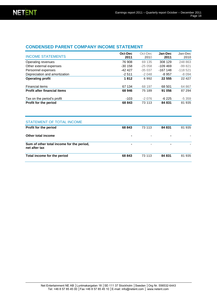### **CONDENSED PARENT COMPANY INCOME STATEMENT**

| <b>INCOME STATEMENTS</b>            | Oct-Dec<br>2011 | Oct-Dec<br>2010 | Jan-Dec<br>2011 | Jan-Dec<br>2010 |
|-------------------------------------|-----------------|-----------------|-----------------|-----------------|
| Operating revenues                  | 76 908          | 69 135          | 308 129         | 248 863         |
| Other external expenses             | $-30158$        | $-25058$        | $-109.469$      | $-99821$        |
| Personnel expenses                  | $-4242$         | $-35037$        | $-167148$       | $-118521$       |
| Depreciation and amortization       | $-2511$         | $-2048$         | $-8957$         | $-8094$         |
| <b>Operating profit</b>             | 1812            | 6992            | 22 555          | 22 4 27         |
| <b>Financial items</b>              | 67 134          | 68 197          | 68 501          | 64 867          |
| <b>Profit after financial items</b> | 68 946          | 75 189          | 91 056          | 87 294          |
| Tax on the period's profit          | $-103$          | $-2076$         | -6 225          | $-5359$         |
| Profit for the period               | 68 843          | 73 113          | 84 831          | 81 935          |
|                                     |                 |                 |                 |                 |

| STATEMENT OF TOTAL INCOME                                  |                |                |                |        |
|------------------------------------------------------------|----------------|----------------|----------------|--------|
| Profit for the period                                      | 68 843         | 73 113         | 84 831         | 81 935 |
| Other total income                                         | $\blacksquare$ | $\blacksquare$ |                |        |
| Sum of other total income for the period,<br>net after tax | $\blacksquare$ | $\blacksquare$ | $\blacksquare$ |        |
| Total income for the period                                | 68 843         | 73 113         | 84 831         | 81 935 |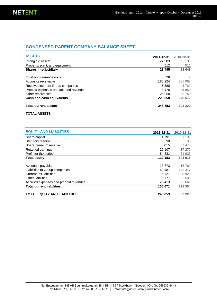### **CONDENSED PARENT COMPANY BALANCE SHEET**

| <b>ASSETS</b>                         | 2011-12-31 | 2010-12-31 |
|---------------------------------------|------------|------------|
|                                       |            |            |
| Intangible assets                     | 27 983     | 23 136     |
| Property, plant, and equipment        | 512        | 512        |
| <b>Shares in subsidiary</b>           | 28 4 95    | 23 648     |
| Total non-current assets              | 28         | 2          |
| Accounts receivable                   | 180 224    | 235 068    |
| Receivables from Group companies      | 6 580      | 3762       |
| Prepaid expenses and accrued revenues | 8476       | 5980       |
| Other receivables                     | 25 050     | 33 760     |
| Cash and cash equivalents             | 220 358    | 278 572    |
| <b>Total current assets</b>           | 248 853    | 302 220    |

#### **TOTAL ASSETS**

| <b>EQUITY AND LIABILITIES</b>         |            |            |
|---------------------------------------|------------|------------|
|                                       | 2011-12-31 | 2010-12-31 |
| Share capital                         | 1 1 9 1    | 1 1 9 1    |
| Statutory reserve                     | 38         | 38         |
| Share premium reserve                 | 6015       | 3473       |
| Retained earnings                     | 20 107     | 17 279     |
| Profit for the period                 | 84 831     | 81 935     |
| <b>Total equity</b>                   | 112 182    | 103 916    |
| Accounts payable                      | 28 7 7 3   | 16789      |
| Liabilities to Group companies        | 69 181     | 149 417    |
| Current tax liabilities               | 6 1 2 7    | 5928       |
| Other liabilities                     | 3 1 7 7    | 2 5 0 1    |
| Accrued expenses and prepaid revenues | 29 4 13    | 23 669     |
| <b>Total current liabilities</b>      | 136 671    | 198 304    |
| <b>TOTAL EQUITY AND LIABILITIES</b>   | 248 853    | 302 220    |